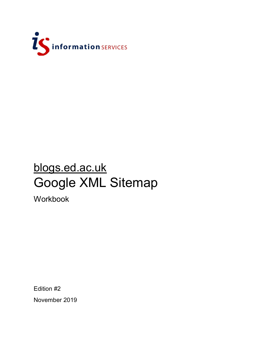

# blogs.ed.ac.uk Google XML Sitemap

Workbook

Edition #2 November 2019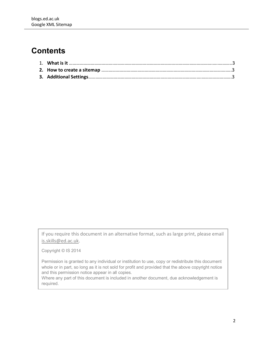## **Contents**

If you require this document in an alternative format, such as large print, please email [is.skills@ed.ac.uk.](mailto:is.skills@ed.ac.uk)

Copyright © IS 2014

Permission is granted to any individual or institution to use, copy or redistribute this document whole or in part, so long as it is not sold for profit and provided that the above copyright notice and this permission notice appear in all copies.

Where any part of this document is included in another document, due acknowledgement is required.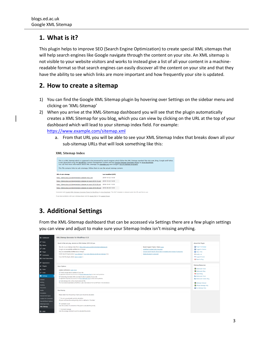#### **1. What is it?**

This plugin helps to improve SEO (Search Engine Optimization) to create special XML sitemaps that will help search engines like Google navigate through the content on your site. An XML sitemap is not visible to your website visitors and works to instead give a list of all your content in a machinereadable format so that search engines can easily discover all the content on your site and that they have the ability to see which links are more important and how frequently your site is updated.

#### **2. How to create a sitemap**

- 1) You can find the Google XML Sitemap plugin by hovering over Settings on the sidebar menu and clicking on 'XML-Sitemap'
- 2) When you arrive at the XML-Sitemap dashboard you will see that the plugin automatically creates a XML Sitemap for you blog, which you can view by clicking on the URL at the top of your dashboard which will lead to your sitemap index field. For example: <https://www.example.com/sitemap.xml>
	- a. From that URL you will be able to see your XML Sitemap Index that breaks down all your sub-sitemap URLs that will look something like this:

**XML Sitemap Index** 

| It was generated using the WordPress content management system and the Google Sitemap Generator Plugin by Arne Brachhold.<br>You can find more information about XML sitemaps on sitemaps.org and Google's list of sitemap programs.<br>This file contains links to sub-sitemaps, follow them to see the actual sitemap content. |                            | This is a XML Sitemap which is supposed to be processed by search engines which follow the XML Sitemap standard like Ask.com. Bing, Google and Yahoo. |
|----------------------------------------------------------------------------------------------------------------------------------------------------------------------------------------------------------------------------------------------------------------------------------------------------------------------------------|----------------------------|-------------------------------------------------------------------------------------------------------------------------------------------------------|
| <b>URL of sub-sitemap</b>                                                                                                                                                                                                                                                                                                        | <b>Last modified (GMT)</b> |                                                                                                                                                       |
| https://blogs.ed.ac.uk/bloggingintern/sitemap-misc.xml                                                                                                                                                                                                                                                                           | 2019-10-22 14:39           |                                                                                                                                                       |
| https://blogs.ed.ac.uk/bloggingintern/sitemap-pt-post-2019-10.xml                                                                                                                                                                                                                                                                | 2019-10-22 14:39           |                                                                                                                                                       |
| https://blogs.ed.ac.uk/bloggingintern/sitemap-pt-post-2018-08.xml                                                                                                                                                                                                                                                                | 2018-10-01 13:55           |                                                                                                                                                       |
| https://blogs.ed.ac.uk/bloggingintern/sitemap-pt-page-2018-08.xml 2018-08-08 14:05                                                                                                                                                                                                                                               |                            |                                                                                                                                                       |
| Generated with Google (XML) Sitemaps Generator Plugin for WordPress by Arne Brachhold. This XSLT template is released under the GPL and free to use.<br>If you have problems with your sitemap please visit the plugin FAO or the support forum.                                                                                 |                            |                                                                                                                                                       |

### **3. Additional Settings**

From the XML-Sitemap dashboard that can be accessed via Settings there are a few plugin settings you can view and adjust to make sure your Sitemap Index isn't missing anything.